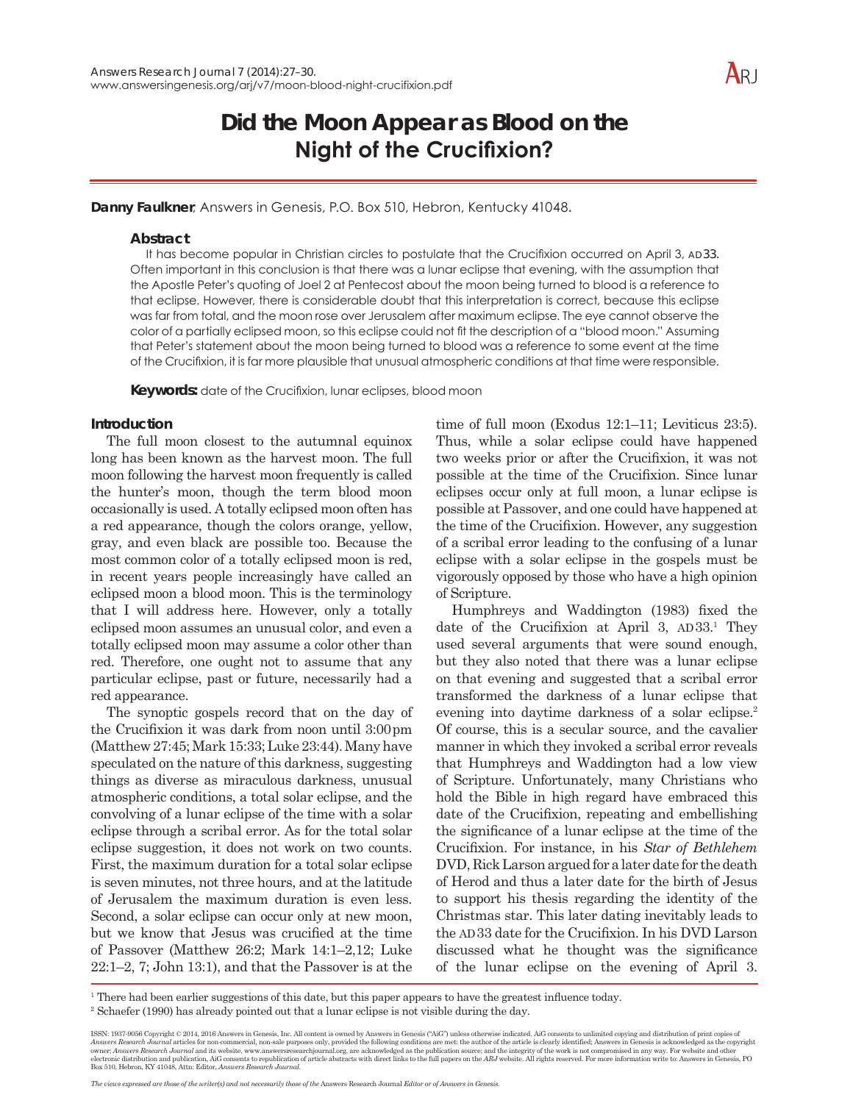# **Did the Moon Appear as Blood on the Night of the Crucifixion?**

Danny Faulkner, Answers in Genesis, P.O. Box 510, Hebron, Kentucky 41048.

## **Abstract**

It has become popular in Christian circles to postulate that the Crucifixion occurred on April 3, AD33. Often important in this conclusion is that there was a lunar eclipse that evening, with the assumption that the Apostle Peter's quoting of Joel 2 at Pentecost about the moon being turned to blood is a reference to that eclipse. However, there is considerable doubt that this interpretation is correct, because this eclipse was far from total, and the moon rose over Jerusalem after maximum eclipse. The eye cannot observe the color of a partially eclipsed moon, so this eclipse could not fit the description of a "blood moon." Assuming that Peter's statement about the moon being turned to blood was a reference to some event at the time of the Crucifixion, it is far more plausible that unusual atmospheric conditions at that time were responsible.

Keywords: date of the Crucifixion, lunar eclipses, blood moon

# **Introduction**

The full moon closest to the autumnal equinox long has been known as the harvest moon. The full moon following the harvest moon frequently is called the hunter's moon, though the term blood moon occasionally is used. A totally eclipsed moon often has a red appearance, though the colors orange, yellow, gray, and even black are possible too. Because the most common color of a totally eclipsed moon is red, in recent years people increasingly have called an eclipsed moon a blood moon. This is the terminology that I will address here. However, only a totally eclipsed moon assumes an unusual color, and even a totally eclipsed moon may assume a color other than red. Therefore, one ought not to assume that any particular eclipse, past or future, necessarily had a red appearance.

The synoptic gospels record that on the day of the Crucifixion it was dark from noon until 3:00pm  $M$ atthew 27:45; Mark 15:33; Luke 23:44). Many have speculated on the nature of this darkness, suggesting things as diverse as miraculous darkness, unusual atmospheric conditions, a total solar eclipse, and the convolving of a lunar eclipse of the time with a solar eclipse through a scribal error. As for the total solar eclipse suggestion, it does not work on two counts. First, the maximum duration for a total solar eclipse is seven minutes, not three hours, and at the latitude of Jerusalem the maximum duration is even less. Second, a solar eclipse can occur only at new moon, but we know that Jesus was crucified at the time of Passover (Matthew 26:2; Mark 14:1-2,12; Luke  $22:1-2$ , 7; John 13:1), and that the Passover is at the

time of full moon (Exodus  $12:1-11$ ; Leviticus  $23:5$ ). Thus, while a solar eclipse could have happened two weeks prior or after the Crucifixion, it was not possible at the time of the Crucifixion. Since lunar eclipses occur only at full moon, a lunar eclipse is possible at Passover, and one could have happened at the time of the Crucifixion. However, any suggestion of a scribal error leading to the confusing of a lunar eclipse with a solar eclipse in the gospels must be vigorously opposed by those who have a high opinion of Scripture.

Humphreys and Waddington (1983) fixed the date of the Crucifixion at April 3, AD 33.<sup>1</sup> They used several arguments that were sound enough, but they also noted that there was a lunar eclipse on that evening and suggested that a scribal error transformed the darkness of a lunar eclipse that evening into daytime darkness of a solar eclipse.<sup>2</sup> Of course, this is a secular source, and the cavalier manner in which they invoked a scribal error reveals that Humphreys and Waddington had a low view of Scripture. Unfortunately, many Christians who hold the Bible in high regard have embraced this date of the Crucifixion, repeating and embellishing the significance of a lunar eclipse at the time of the Crucifixion. For instance, in his Star of Bethlehem DVD, Rick Larson argued for a later date for the death of Herod and thus a later date for the birth of Jesus to support his thesis regarding the identity of the Christmas star. This later dating inevitably leads to the AD33 date for the Crucifixion. In his DVD Larson discussed what he thought was the significance of the lunar eclipse on the evening of April 3.

<sup>1</sup> There had been earlier suggestions of this date, but this paper appears to have the greatest influence today.

<sup>2</sup> Schaefer (1990) has already pointed out that a lunar eclipse is not visible during the day.

ISSN: 1937-9056 Copyright © 2014, 2016 Answers in Genesis, Inc. All content is owned by Answers in Genesis ("AiG") unless otherwise indicated. AiG consents to unlimited copying and distribution of print copies of Answers Research Journal articles for non-commercial, non-sale purposes only, provided the following conditions are met: the author of the article is clearly identified; Answers in Genesis is acknowledged as the copyright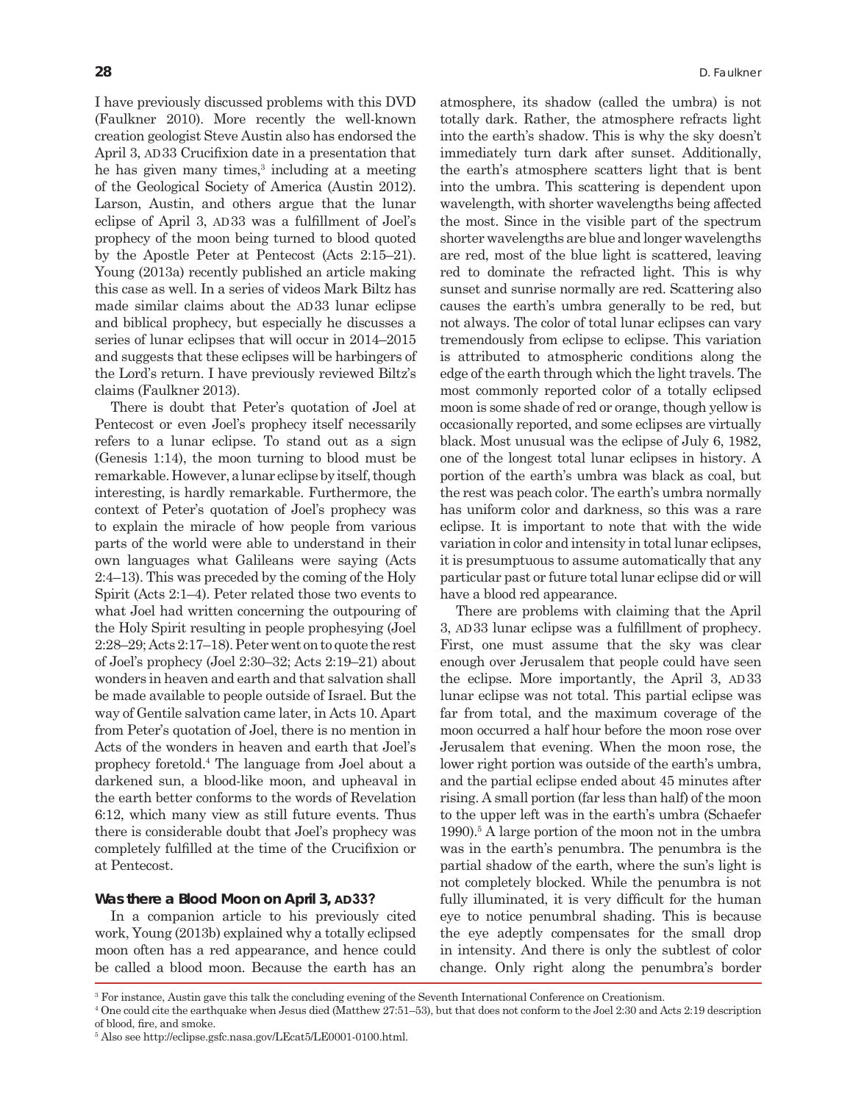I have previously discussed problems with this DVD (Faulkner 2010). More recently the well-known creation geologist Steve Austin also has endorsed the April 3,  $AD33$  Crucifixion date in a presentation that he has given many times,<sup>3</sup> including at a meeting of the Geological Society of America (Austin 2012). Larson, Austin, and others argue that the lunar eclipse of April 3, AD 33 was a fulfillment of Joel's prophecy of the moon being turned to blood quoted by the Apostle Peter at Pentecost (Acts  $2:15-21$ ). Young (2013a) recently published an article making this case as well. In a series of videos Mark Biltz has made similar claims about the AD 33 lunar eclipse and biblical prophecy, but especially he discusses a series of lunar eclipses that will occur in  $2014-2015$ and suggests that these eclipses will be harbingers of the Lord's return. I have previously reviewed Biltz's claims (Faulkner 2013).

There is doubt that Peter's quotation of Joel at Pentecost or even Joel's prophecy itself necessarily refers to a lunar eclipse. To stand out as a sign (Genesis 1:14), the moon turning to blood must be remarkable. However, a lunar eclipse by itself, though interesting, is hardly remarkable. Furthermore, the context of Peter's quotation of Joel's prophecy was to explain the miracle of how people from various parts of the world were able to understand in their own languages what Galileans were saying (Acts  $2:4-13$ ). This was preceded by the coming of the Holy Spirit (Acts 2:1–4). Peter related those two events to what Joel had written concerning the outpouring of the Holy Spirit resulting in people prophesying (Joel  $2:28-29$ ; Acts  $2:17-18$ ). Peter went on to quote the rest of Joel's prophecy (Joel 2:30-32; Acts 2:19-21) about wonders in heaven and earth and that salvation shall be made available to people outside of Israel. But the way of Gentile salvation came later, in Acts 10. Apart from Peter's quotation of Joel, there is no mention in Acts of the wonders in heaven and earth that Joel's prophecy foretold.<sup>4</sup> The language from Joel about a darkened sun, a blood-like moon, and upheaval in the earth better conforms to the words of Revelation 6:12, which many view as still future events. Thus there is considerable doubt that Joel's prophecy was completely fulfilled at the time of the Crucifixion or at Pentecost.

### **Was there a Blood Moon on April 3, AD33?**

In a companion article to his previously cited work, Young  $(2013b)$  explained why a totally eclipsed moon often has a red appearance, and hence could be called a blood moon. Because the earth has an

atmosphere, its shadow (called the umbra) is not totally dark. Rather, the atmosphere refracts light into the earth's shadow. This is why the sky doesn't immediately turn dark after sunset. Additionally, the earth's atmosphere scatters light that is bent into the umbra. This scattering is dependent upon wavelength, with shorter wavelengths being affected the most. Since in the visible part of the spectrum shorter wavelengths are blue and longer wavelengths are red, most of the blue light is scattered, leaving red to dominate the refracted light. This is why sunset and sunrise normally are red. Scattering also causes the earth's umbra generally to be red, but not always. The color of total lunar eclipses can vary tremendously from eclipse to eclipse. This variation is attributed to atmospheric conditions along the edge of the earth through which the light travels. The most commonly reported color of a totally eclipsed moon is some shade of red or orange, though yellow is occasionally reported, and some eclipses are virtually black. Most unusual was the eclipse of July 6, 1982, one of the longest total lunar eclipses in history. A portion of the earth's umbra was black as coal, but the rest was peach color. The earth's umbra normally has uniform color and darkness, so this was a rare eclipse. It is important to note that with the wide variation in color and intensity in total lunar eclipses, it is presumptuous to assume automatically that any particular past or future total lunar eclipse did or will have a blood red appearance.

There are problems with claiming that the April 3, AD 33 lunar eclipse was a fulfillment of prophecy. First, one must assume that the sky was clear enough over Jerusalem that people could have seen the eclipse. More importantly, the April 3, AD 33 lunar eclipse was not total. This partial eclipse was far from total, and the maximum coverage of the moon occurred a half hour before the moon rose over Jerusalem that evening. When the moon rose, the lower right portion was outside of the earth's umbra, and the partial eclipse ended about 45 minutes after rising. A small portion (far less than half) of the moon to the upper left was in the earth's umbra (Schaefer 1990).<sup>5</sup> A large portion of the moon not in the umbra was in the earth's penumbra. The penumbra is the partial shadow of the earth, where the sun's light is not completely blocked. While the penumbra is not fully illuminated, it is very difficult for the human eye to notice penumbral shading. This is because the eye adeptly compensates for the small drop in intensity. And there is only the subtlest of color change. Only right along the penumbra's border

 $3$  For instance, Austin gave this talk the concluding evening of the Seventh International Conference on Creationism.

<sup>&</sup>lt;sup>4</sup> One could cite the earthquake when Jesus died (Matthew 27:51–53), but that does not conform to the Joel 2:30 and Acts 2:19 description of blood, fire, and smoke.

<sup>&</sup>lt;sup>5</sup> Also see http://eclipse.gsfc.nasa.gov/LEcat5/LE0001-0100.html.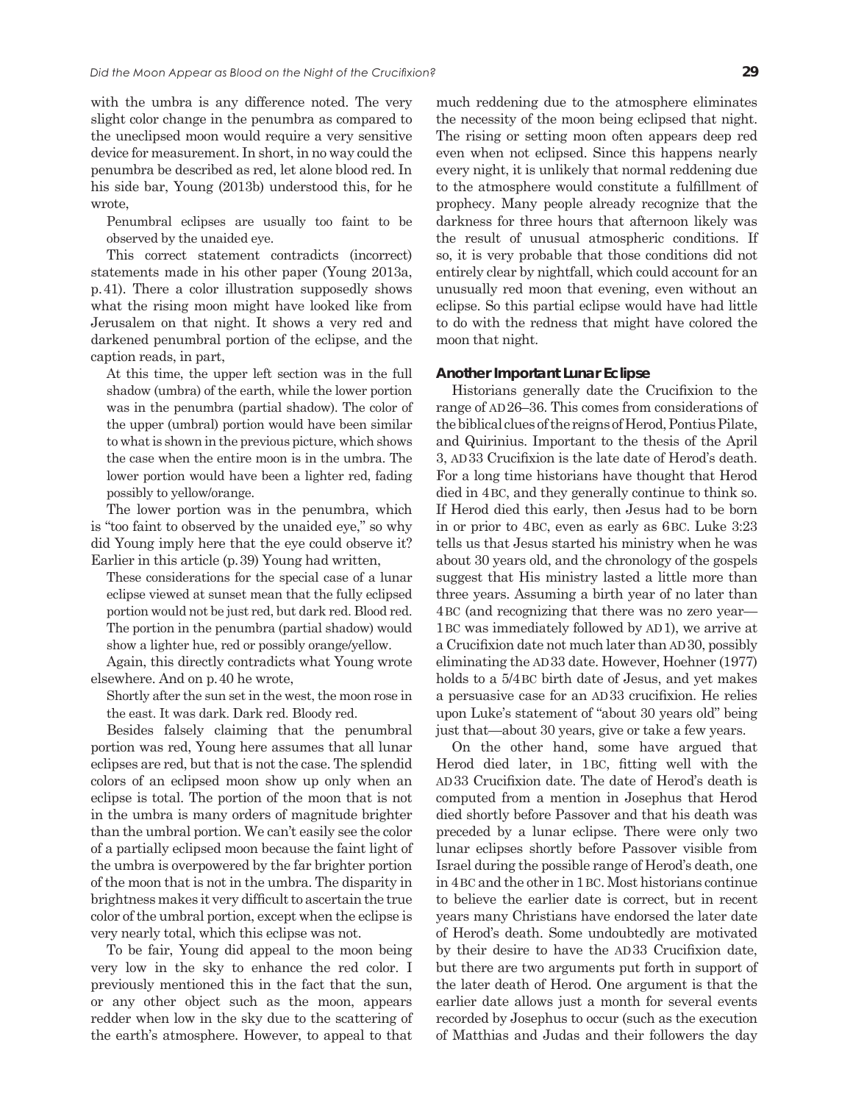with the umbra is any difference noted. The very slight color change in the penumbra as compared to the uneclipsed moon would require a very sensitive device for measurement. In short, in no way could the penumbra be described as red, let alone blood red. In his side bar, Young (2013b) understood this, for he wrote,

Penumbral eclipses are usually too faint to be observed by the unaided eye.

This correct statement contradicts (incorrect) statements made in his other paper (Young 2013a, p. 41). There a color illustration supposedly shows what the rising moon might have looked like from Jerusalem on that night. It shows a very red and darkened penumbral portion of the eclipse, and the caption reads, in part,

At this time, the upper left section was in the full shadow (umbra) of the earth, while the lower portion was in the penumbra (partial shadow). The color of the upper (umbral) portion would have been similar to what is shown in the previous picture, which shows the case when the entire moon is in the umbra. The lower portion would have been a lighter red, fading possibly to yellow/orange.

The lower portion was in the penumbra, which is "too faint to observed by the unaided eye," so why did Young imply here that the eye could observe it? Earlier in this article (p. 39) Young had written,

These considerations for the special case of a lunar eclipse viewed at sunset mean that the fully eclipsed portion would not be just red, but dark red. Blood red. The portion in the penumbra (partial shadow) would show a lighter hue, red or possibly orange/yellow.

Again, this directly contradicts what Young wrote elsewhere. And on p. 40 he wrote,

Shortly after the sun set in the west, the moon rose in the east. It was dark. Dark red. Bloody red.

Besides falsely claiming that the penumbral portion was red, Young here assumes that all lunar eclipses are red, but that is not the case. The splendid colors of an eclipsed moon show up only when an eclipse is total. The portion of the moon that is not in the umbra is many orders of magnitude brighter than the umbral portion. We can't easily see the color of a partially eclipsed moon because the faint light of the umbra is overpowered by the far brighter portion of the moon that is not in the umbra. The disparity in brightness makes it very difficult to ascertain the true color of the umbral portion, except when the eclipse is very nearly total, which this eclipse was not.

To be fair, Young did appeal to the moon being very low in the sky to enhance the red color. I previously mentioned this in the fact that the sun, or any other object such as the moon, appears redder when low in the sky due to the scattering of the earth's atmosphere. However, to appeal to that

much reddening due to the atmosphere eliminates the necessity of the moon being eclipsed that night. The rising or setting moon often appears deep red even when not eclipsed. Since this happens nearly every night, it is unlikely that normal reddening due to the atmosphere would constitute a fulfillment of prophecy. Many people already recognize that the darkness for three hours that afternoon likely was the result of unusual atmospheric conditions. If so, it is very probable that those conditions did not entirely clear by nightfall, which could account for an unusually red moon that evening, even without an eclipse. So this partial eclipse would have had little to do with the redness that might have colored the moon that night.

#### **Another Important Lunar Eclipse**

Historians generally date the Crucifixion to the range of  $AD26-36$ . This comes from considerations of the biblical clues of the reigns of Herod, Pontius Pilate, and Quirinius. Important to the thesis of the April 3, AD 33 Crucifixion is the late date of Herod's death. For a long time historians have thought that Herod died in 4 BC, and they generally continue to think so. If Herod died this early, then Jesus had to be born in or prior to  $4BC$ , even as early as  $6BC$ . Luke  $3:23$ tells us that Jesus started his ministry when he was about 30 years old, and the chronology of the gospels suggest that His ministry lasted a little more than three years. Assuming a birth year of no later than 4 BC (and recognizing that there was no zero year-1 BC was immediately followed by AD 1), we arrive at a Crucifixion date not much later than AD 30, possibly eliminating the AD 33 date. However, Hoehner (1977) holds to a  $5/4$  BC birth date of Jesus, and yet makes a persuasive case for an AD33 crucifixion. He relies upon Luke's statement of "about 30 years old" being just that—about 30 years, give or take a few years.

On the other hand, some have argued that Herod died later, in 1 BC, fitting well with the AD33 Crucifixion date. The date of Herod's death is computed from a mention in Josephus that Herod died shortly before Passover and that his death was preceded by a lunar eclipse. There were only two lunar eclipses shortly before Passover visible from Israel during the possible range of Herod's death, one in 4 BC and the other in 1 BC. Most historians continue to believe the earlier date is correct, but in recent years many Christians have endorsed the later date of Herod's death. Some undoubtedly are motivated by their desire to have the AD33 Crucifixion date, but there are two arguments put forth in support of the later death of Herod. One argument is that the earlier date allows just a month for several events recorded by Josephus to occur (such as the execution of Matthias and Judas and their followers the day